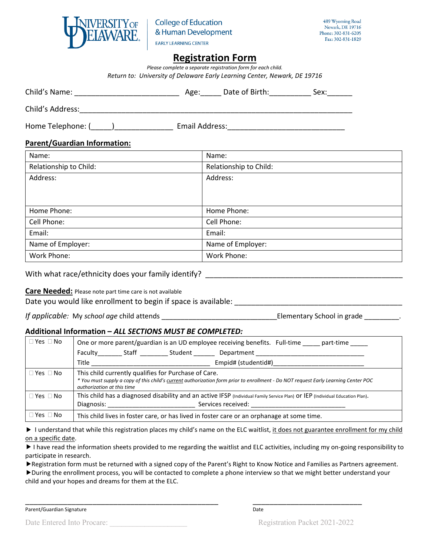

# **Registration Form**

*Please complete a separate registration form for each child. Return to: University of Delaware Early Learning Center, Newark, DE 19716*

| Child's Name:     | Age:           | Date of Birth: | Sex: |
|-------------------|----------------|----------------|------|
| Child's Address:  |                |                |      |
| Home Telephone: ( | Email Address: |                |      |

#### **Parent/Guardian Information:**

| Name:                  | Name:                  |
|------------------------|------------------------|
| Relationship to Child: | Relationship to Child: |
| Address:               | Address:               |
| Home Phone:            | Home Phone:            |
| Cell Phone:            | Cell Phone:            |
| Email:                 | Email:                 |
| Name of Employer:      | Name of Employer:      |
| Work Phone:            | Work Phone:            |

With what race/ethnicity does your family identify? \_\_\_\_\_\_\_\_\_\_\_\_\_\_\_\_\_\_\_\_\_\_\_\_\_\_\_\_

#### **Care Needed:** Please note part time care is not available

Date you would like enrollment to begin if space is available:

*If applicable:* My *school age* child attends *If applicable:* My *school age* child attends *If applicable*  $\blacksquare$ 

## **Additional Information –** *ALL SECTIONS MUST BE COMPLETED:*

| $\Box$ Yes $\Box$ No | One or more parent/guardian is an UD employee receiving benefits. Full-time part-time                                                                                                                                    |  |  |  |  |
|----------------------|--------------------------------------------------------------------------------------------------------------------------------------------------------------------------------------------------------------------------|--|--|--|--|
|                      | Faculty Staff Student<br>Department                                                                                                                                                                                      |  |  |  |  |
|                      | Title<br>Empid# (studentid#)                                                                                                                                                                                             |  |  |  |  |
| $\Box$ Yes $\Box$ No | This child currently qualifies for Purchase of Care.<br>* You must supply a copy of this child's current authorization form prior to enrollment - Do NOT request Early Learning Center POC<br>authorization at this time |  |  |  |  |
| $\Box$ Yes $\Box$ No | This child has a diagnosed disability and an active IFSP (Individual Family Service Plan) Or IEP (Individual Education Plan).<br>Services received:                                                                      |  |  |  |  |
| $\Box$ Yes $\Box$ No | This child lives in foster care, or has lived in foster care or an orphanage at some time.                                                                                                                               |  |  |  |  |

I understand that while this registration places my child's name on the ELC waitlist, it does not guarantee enrollment for my child on a specific date.

I have read the information sheets provided to me regarding the waitlist and ELC activities, including my on-going responsibility to participate in research.

Registration form must be returned with a signed copy of the Parent's Right to Know Notice and Families as Partners agreement.

During the enrollment process, you will be contacted to complete a phone interview so that we might better understand your child and your hopes and dreams for them at the ELC.

external and the control of the control of the control of the control of the control of the control of the control of the control of the control of the control of the control of the control of the control of the control of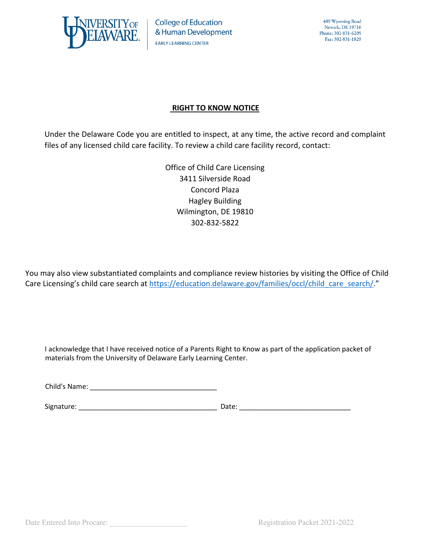

## **RIGHT TO KNOW NOTICE**

Under the Delaware Code you are entitled to inspect, at any time, the active record and complaint files of any licensed child care facility. To review a child care facility record, contact:

> Office of Child Care Licensing 3411 Silverside Road Concord Plaza Hagley Building Wilmington, DE 19810 302-832-5822

You may also view substantiated complaints and compliance review histories by visiting the Office of Child Care Licensing's child care search a[t https://education.delaware.gov/families/occl/child\\_care\\_search/.](https://education.delaware.gov/families/occl/child_care_search/)"

I acknowledge that I have received notice of a Parents Right to Know as part of the application packet of materials from the University of Delaware Early Learning Center.

Child's Name: <u>and the same</u> of the same of the same of the same of the same of the same of the same of the same of the same of the same of the same of the same of the same of the same of the same of the same of the same o

Signature: \_\_\_\_\_\_\_\_\_\_\_\_\_\_\_\_\_\_\_\_\_\_\_\_\_\_\_\_\_\_\_\_\_\_\_\_ Date: \_\_\_\_\_\_\_\_\_\_\_\_\_\_\_\_\_\_\_\_\_\_\_\_\_\_\_\_\_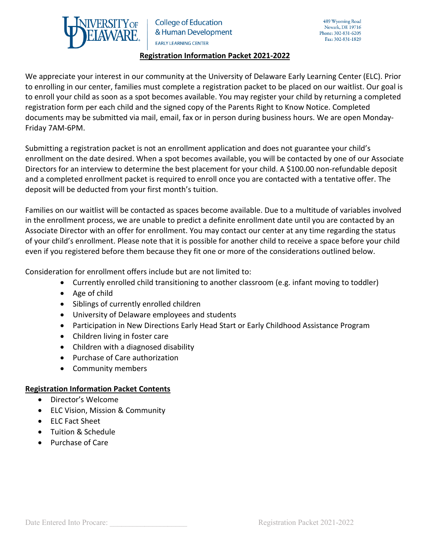

### **Registration Information Packet 2021-2022**

We appreciate your interest in our community at the University of Delaware Early Learning Center (ELC). Prior to enrolling in our center, families must complete a registration packet to be placed on our waitlist. Our goal is to enroll your child as soon as a spot becomes available. You may register your child by returning a completed registration form per each child and the signed copy of the Parents Right to Know Notice. Completed documents may be submitted via mail, email, fax or in person during business hours. We are open Monday-Friday 7AM-6PM.

Submitting a registration packet is not an enrollment application and does not guarantee your child's enrollment on the date desired. When a spot becomes available, you will be contacted by one of our Associate Directors for an interview to determine the best placement for your child. A \$100.00 non-refundable deposit and a completed enrollment packet is required to enroll once you are contacted with a tentative offer. The deposit will be deducted from your first month's tuition.

Families on our waitlist will be contacted as spaces become available. Due to a multitude of variables involved in the enrollment process, we are unable to predict a definite enrollment date until you are contacted by an Associate Director with an offer for enrollment. You may contact our center at any time regarding the status of your child's enrollment. Please note that it is possible for another child to receive a space before your child even if you registered before them because they fit one or more of the considerations outlined below.

Consideration for enrollment offers include but are not limited to:

- Currently enrolled child transitioning to another classroom (e.g. infant moving to toddler)
- Age of child
- Siblings of currently enrolled children
- University of Delaware employees and students
- Participation in New Directions Early Head Start or Early Childhood Assistance Program
- Children living in foster care
- Children with a diagnosed disability
- Purchase of Care authorization
- Community members

## **Registration Information Packet Contents**

- Director's Welcome
- ELC Vision, Mission & Community
- ELC Fact Sheet
- Tuition & Schedule
- Purchase of Care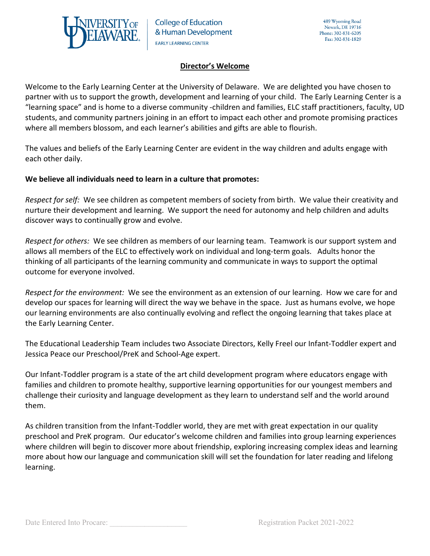

### **Director's Welcome**

Welcome to the Early Learning Center at the University of Delaware. We are delighted you have chosen to partner with us to support the growth, development and learning of your child. The Early Learning Center is a "learning space" and is home to a diverse community -children and families, ELC staff practitioners, faculty, UD students, and community partners joining in an effort to impact each other and promote promising practices where all members blossom, and each learner's abilities and gifts are able to flourish.

The values and beliefs of the Early Learning Center are evident in the way children and adults engage with each other daily.

### **We believe all individuals need to learn in a culture that promotes:**

*Respect for self:* We see children as competent members of society from birth. We value their creativity and nurture their development and learning. We support the need for autonomy and help children and adults discover ways to continually grow and evolve.

*Respect for others:* We see children as members of our learning team. Teamwork is our support system and allows all members of the ELC to effectively work on individual and long-term goals. Adults honor the thinking of all participants of the learning community and communicate in ways to support the optimal outcome for everyone involved.

*Respect for the environment:* We see the environment as an extension of our learning. How we care for and develop our spaces for learning will direct the way we behave in the space. Just as humans evolve, we hope our learning environments are also continually evolving and reflect the ongoing learning that takes place at the Early Learning Center.

The Educational Leadership Team includes two Associate Directors, Kelly Freel our Infant-Toddler expert and Jessica Peace our Preschool/PreK and School-Age expert.

Our Infant-Toddler program is a state of the art child development program where educators engage with families and children to promote healthy, supportive learning opportunities for our youngest members and challenge their curiosity and language development as they learn to understand self and the world around them.

As children transition from the Infant-Toddler world, they are met with great expectation in our quality preschool and PreK program. Our educator's welcome children and families into group learning experiences where children will begin to discover more about friendship, exploring increasing complex ideas and learning more about how our language and communication skill will set the foundation for later reading and lifelong learning.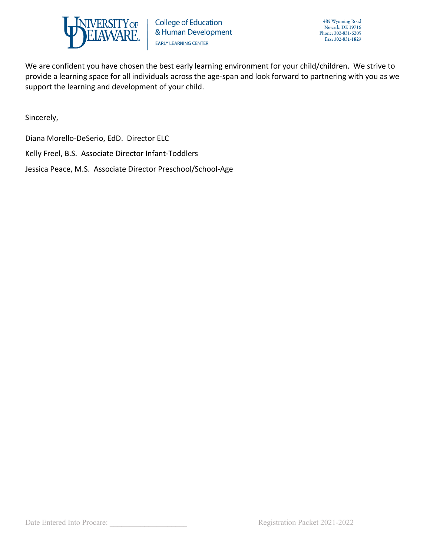

We are confident you have chosen the best early learning environment for your child/children. We strive to provide a learning space for all individuals across the age-span and look forward to partnering with you as we support the learning and development of your child.

Sincerely,

Diana Morello-DeSerio, EdD. Director ELC

Kelly Freel, B.S. Associate Director Infant-Toddlers

Jessica Peace, M.S. Associate Director Preschool/School-Age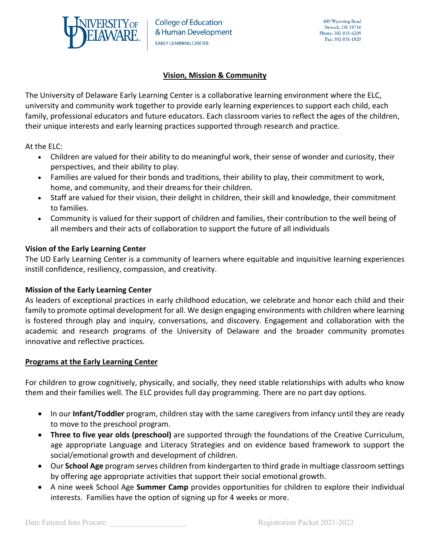

### **Vision, Mission & Community**

The University of Delaware Early Learning Center is a collaborative learning environment where the ELC, university and community work together to provide early learning experiences to support each child, each family, professional educators and future educators. Each classroom varies to reflect the ages of the children, their unique interests and early learning practices supported through research and practice.

At the ELC:

- Children are valued for their ability to do meaningful work, their sense of wonder and curiosity, their perspectives, and their ability to play.
- Families are valued for their bonds and traditions, their ability to play, their commitment to work, home, and community, and their dreams for their children.
- Staff are valued for their vision, their delight in children, their skill and knowledge, their commitment to families.
- Community is valued for their support of children and families, their contribution to the well being of all members and their acts of collaboration to support the future of all individuals

### **Vision of the Early Learning Center**

The UD Early Learning Center is a community of learners where equitable and inquisitive learning experiences instill confidence, resiliency, compassion, and creativity.

#### **Mission of the Early Learning Center**

As leaders of exceptional practices in early childhood education, we celebrate and honor each child and their family to promote optimal development for all. We design engaging environments with children where learning is fostered through play and inquiry, conversations, and discovery. Engagement and collaboration with the academic and research programs of the University of Delaware and the broader community promotes innovative and reflective practices.

#### **Programs at the Early Learning Center**

For children to grow cognitively, physically, and socially, they need stable relationships with adults who know them and their families well. The ELC provides full day programming. There are no part day options.

- In our **Infant/Toddler** program, children stay with the same caregivers from infancy until they are ready to move to the preschool program.
- **Three to five year olds (preschool)** are supported through the foundations of the Creative Curriculum, age appropriate Language and Literacy Strategies and on evidence based framework to support the social/emotional growth and development of children.
- Our **School Age** program serves children from kindergarten to third grade in multiage classroom settings by offering age appropriate activities that support their social emotional growth.
- A nine week School Age **Summer Camp** provides opportunities for children to explore their individual interests. Families have the option of signing up for 4 weeks or more.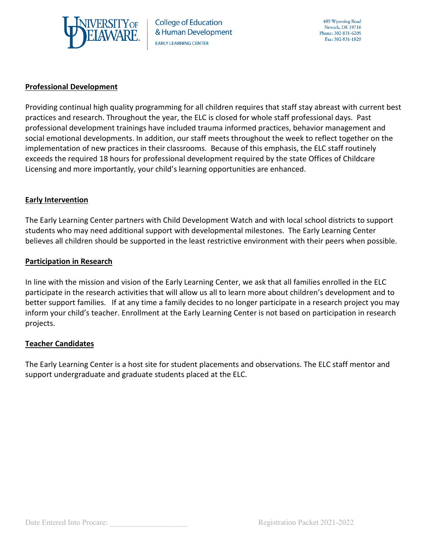

### **Professional Development**

Providing continual high quality programming for all children requires that staff stay abreast with current best practices and research. Throughout the year, the ELC is closed for whole staff professional days. Past professional development trainings have included trauma informed practices, behavior management and social emotional developments. In addition, our staff meets throughout the week to reflect together on the implementation of new practices in their classrooms. Because of this emphasis, the ELC staff routinely exceeds the required 18 hours for professional development required by the state Offices of Childcare Licensing and more importantly, your child's learning opportunities are enhanced.

### **Early Intervention**

The Early Learning Center partners with Child Development Watch and with local school districts to support students who may need additional support with developmental milestones. The Early Learning Center believes all children should be supported in the least restrictive environment with their peers when possible.

#### **Participation in Research**

In line with the mission and vision of the Early Learning Center, we ask that all families enrolled in the ELC participate in the research activities that will allow us all to learn more about children's development and to better support families. If at any time a family decides to no longer participate in a research project you may inform your child's teacher. Enrollment at the Early Learning Center is not based on participation in research projects.

#### **Teacher Candidates**

The Early Learning Center is a host site for student placements and observations. The ELC staff mentor and support undergraduate and graduate students placed at the ELC.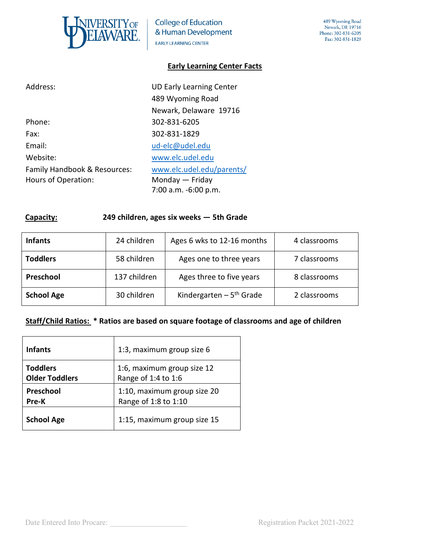

### **Early Learning Center Facts**

| Address:                     | <b>UD Early Learning Center</b> |
|------------------------------|---------------------------------|
|                              | 489 Wyoming Road                |
|                              | Newark, Delaware 19716          |
| Phone:                       | 302-831-6205                    |
| Fax:                         | 302-831-1829                    |
| Email:                       | ud-elc@udel.edu                 |
| Website:                     | www.elc.udel.edu                |
| Family Handbook & Resources: | www.elc.udel.edu/parents/       |
| Hours of Operation:          | Monday $-$ Friday               |
|                              | 7:00 a.m. -6:00 p.m.            |

### **Capacity: 249 children, ages six weeks — 5th Grade**

| <b>Infants</b>    | 24 children                              | Ages 6 wks to 12-16 months            | 4 classrooms |
|-------------------|------------------------------------------|---------------------------------------|--------------|
| <b>Toddlers</b>   | 58 children                              | Ages one to three years               | 7 classrooms |
| Preschool         | 137 children<br>Ages three to five years |                                       | 8 classrooms |
| <b>School Age</b> | 30 children                              | Kindergarten $-5$ <sup>th</sup> Grade | 2 classrooms |

### **Staff/Child Ratios: \* Ratios are based on square footage of classrooms and age of children**

| <b>Infants</b>        | 1:3, maximum group size 6   |
|-----------------------|-----------------------------|
| <b>Toddlers</b>       | 1:6, maximum group size 12  |
| <b>Older Toddlers</b> | Range of 1:4 to 1:6         |
| Preschool             | 1:10, maximum group size 20 |
| Pre-K                 | Range of 1:8 to 1:10        |
| <b>School Age</b>     | 1:15, maximum group size 15 |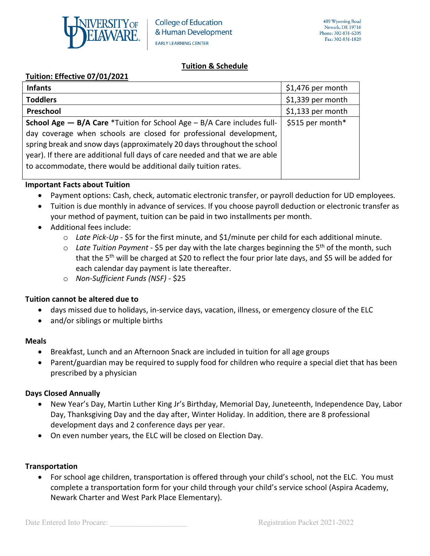

## **Tuition & Schedule**

## **Tuition: Effective 07/01/2021**

| <b>Infants</b>                                                                                                                                                                                                                                                                                  | \$1,476 per month |
|-------------------------------------------------------------------------------------------------------------------------------------------------------------------------------------------------------------------------------------------------------------------------------------------------|-------------------|
| <b>Toddlers</b>                                                                                                                                                                                                                                                                                 | \$1,339 per month |
| Preschool                                                                                                                                                                                                                                                                                       | \$1,133 per month |
| <b>School Age - B/A Care *Tuition for School Age - B/A Care includes full-</b>                                                                                                                                                                                                                  | \$515 per month*  |
| day coverage when schools are closed for professional development,<br>spring break and snow days (approximately 20 days throughout the school<br>year). If there are additional full days of care needed and that we are able<br>to accommodate, there would be additional daily tuition rates. |                   |

### **Important Facts about Tuition**

- Payment options: Cash, check, automatic electronic transfer, or payroll deduction for UD employees.
- Tuition is due monthly in advance of services. If you choose payroll deduction or electronic transfer as your method of payment, tuition can be paid in two installments per month.
- Additional fees include:
	- o *Late Pick-Up* \$5 for the first minute, and \$1/minute per child for each additional minute.
	- o *Late Tuition Payment* \$5 per day with the late charges beginning the 5th of the month, such that the 5<sup>th</sup> will be charged at \$20 to reflect the four prior late days, and \$5 will be added for each calendar day payment is late thereafter.
	- o *Non-Sufficient Funds (NSF)* \$25

## **Tuition cannot be altered due to**

- days missed due to holidays, in-service days, vacation, illness, or emergency closure of the ELC
- and/or siblings or multiple births

## **Meals**

- Breakfast, Lunch and an Afternoon Snack are included in tuition for all age groups
- Parent/guardian may be required to supply food for children who require a special diet that has been prescribed by a physician

## **Days Closed Annually**

- New Year's Day, Martin Luther King Jr's Birthday, Memorial Day, Juneteenth, Independence Day, Labor Day, Thanksgiving Day and the day after, Winter Holiday. In addition, there are 8 professional development days and 2 conference days per year.
- On even number years, the ELC will be closed on Election Day.

## **Transportation**

• For school age children, transportation is offered through your child's school, not the ELC. You must complete a transportation form for your child through your child's service school (Aspira Academy, Newark Charter and West Park Place Elementary).